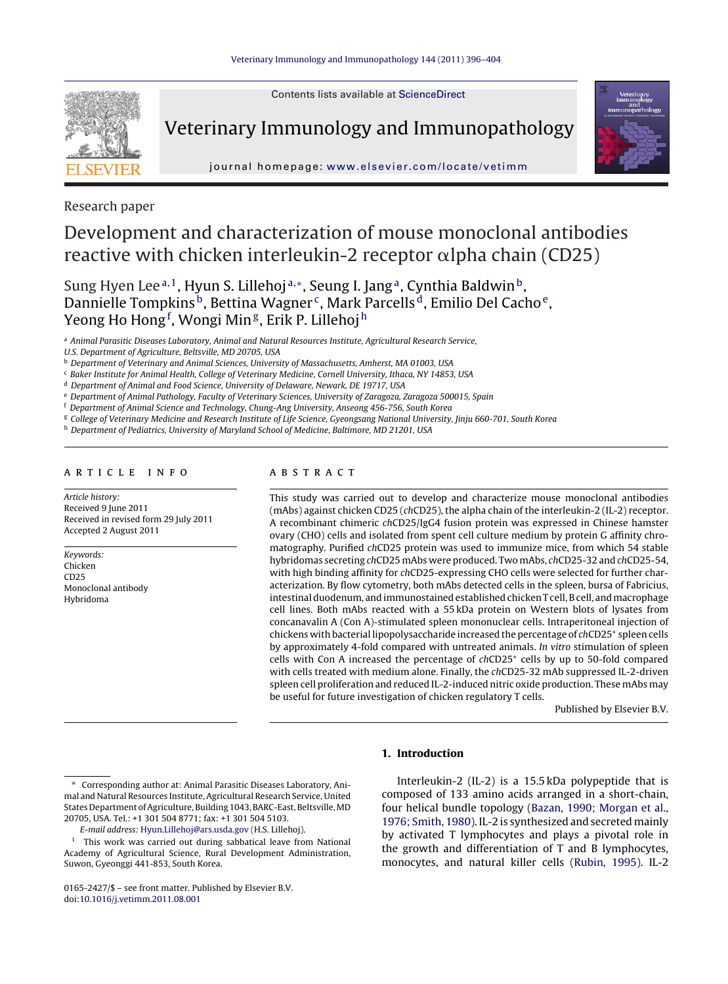



Veterinary Immunology and Immunopathology



journal homepage: [www.elsevier.com/locate/vetimm](http://www.elsevier.com/locate/vetimm)

Research paper

# Development and characterization of mouse monoclonal antibodies reactive with chicken interleukin-2 receptor  $\alpha$ lpha chain (CD25)

Sung Hyen Lee<sup>a, 1</sup>, Hyun S. Lillehoj<sup>a,</sup>\*, Seung I. Jang<sup>a</sup>, Cynthia Baldwin<sup>b</sup>, Dannielle Tompkins<sup>b</sup>, Bettina Wagner<sup>c</sup>, Mark Parcells<sup>d</sup>, Emilio Del Cacho<sup>e</sup>, Yeong Ho Hong<sup>f</sup>, Wongi Min<sup>g</sup>, Erik P. Lillehoj <sup>h</sup>

<sup>a</sup> Animal Parasitic Diseases Laboratory, Animal and Natural Resources Institute, Agricultural Research Service,

U.S. Department of Agriculture, Beltsville, MD 20705, USA

**b** Department of Veterinary and Animal Sciences, University of Massachusetts, Amherst, MA 01003, USA

<sup>c</sup> Baker Institute for Animal Health, College of Veterinary Medicine, Cornell University, Ithaca, NY 14853, USA

<sup>d</sup> Department of Animal and Food Science, University of Delaware, Newark, DE 19717, USA

<sup>e</sup> Department of Animal Pathology, Faculty of Veterinary Sciences, University of Zaragoza, Zaragoza 500015, Spain

<sup>f</sup> Department of Animal Science and Technology, Chung-Ang University, Anseong 456-756, South Korea

<sup>g</sup> College of Veterinary Medicine and Research Institute of Life Science, Gyeongsang National University, Jinju 660-701, South Korea

h Department of Pediatrics, University of Maryland School of Medicine, Baltimore, MD 21201, USA

### a r t i c l e i n f o

Article history: Received 9 June 2011 Received in revised form 29 July 2011 Accepted 2 August 2011

Keywords: Chicken CD25 Monoclonal antibody Hybridoma

# a b s t r a c t

This study was carried out to develop and characterize mouse monoclonal antibodies (mAbs) against chicken CD25 (chCD25), the alpha chain of the interleukin-2 (IL-2) receptor. A recombinant chimeric chCD25/IgG4 fusion protein was expressed in Chinese hamster ovary (CHO) cells and isolated from spent cell culture medium by protein G affinity chromatography. Purified chCD25 protein was used to immunize mice, from which 54 stable hybridomas secreting chCD25 mAbs were produced. Two mAbs, chCD25-32 and chCD25-54, with high binding affinity for chCD25-expressing CHO cells were selected for further characterization. By flow cytometry, both mAbs detected cells in the spleen, bursa of Fabricius, intestinal duodenum, and immunostained established chicken T cell, B cell, and macrophage cell lines. Both mAbs reacted with a 55 kDa protein on Western blots of lysates from concanavalin A (Con A)-stimulated spleen mononuclear cells. Intraperitoneal injection of chickens with bacterial lipopolysaccharide increased the percentage of chCD25<sup>+</sup> spleen cells by approximately 4-fold compared with untreated animals. In vitro stimulation of spleen cells with Con A increased the percentage of  $chCD25<sup>+</sup>$  cells by up to 50-fold compared with cells treated with medium alone. Finally, the chCD25-32 mAb suppressed IL-2-driven spleen cell proliferation and reduced IL-2-induced nitric oxide production. These mAbs may be useful for future investigation of chicken regulatory T cells.

Published by Elsevier B.V.

#### Corresponding author at: Animal Parasitic Diseases Laboratory, Animal and Natural Resources Institute, Agricultural Research Service, United States Department of Agriculture, Building 1043, BARC-East, Beltsville, MD 20705, USA. Tel.: +1 301 504 8771; fax: +1 301 504 5103.

E-mail address: [Hyun.Lillehoj@ars.usda.gov](mailto:Hyun.Lillehoj@ars.usda.gov) (H.S. Lillehoj).

Interleukin-2 (IL-2) is a 15.5 kDa polypeptide that is

**1. Introduction**

composed of 133 amino acids arranged in a short-chain, four helical bundle topology [\(Bazan,](#page-7-0) [1990;](#page-7-0) [Morgan](#page-7-0) et [al.,](#page-7-0) [1976;](#page-7-0) [Smith,](#page-7-0) [1980\).](#page-7-0) IL-2 is synthesized and secreted mainly by activated T lymphocytes and plays a pivotal role in the growth and differentiation of T and B lymphocytes, monocytes, and natural killer cells ([Rubin,](#page-7-0) [1995\).](#page-7-0) IL-2

<sup>&</sup>lt;sup>1</sup> This work was carried out during sabbatical leave from National Academy of Agricultural Science, Rural Development Administration, Suwon, Gyeonggi 441-853, South Korea.

<sup>0165-2427/\$</sup> – see front matter. Published by Elsevier B.V. doi:[10.1016/j.vetimm.2011.08.001](dx.doi.org/10.1016/j.vetimm.2011.08.001)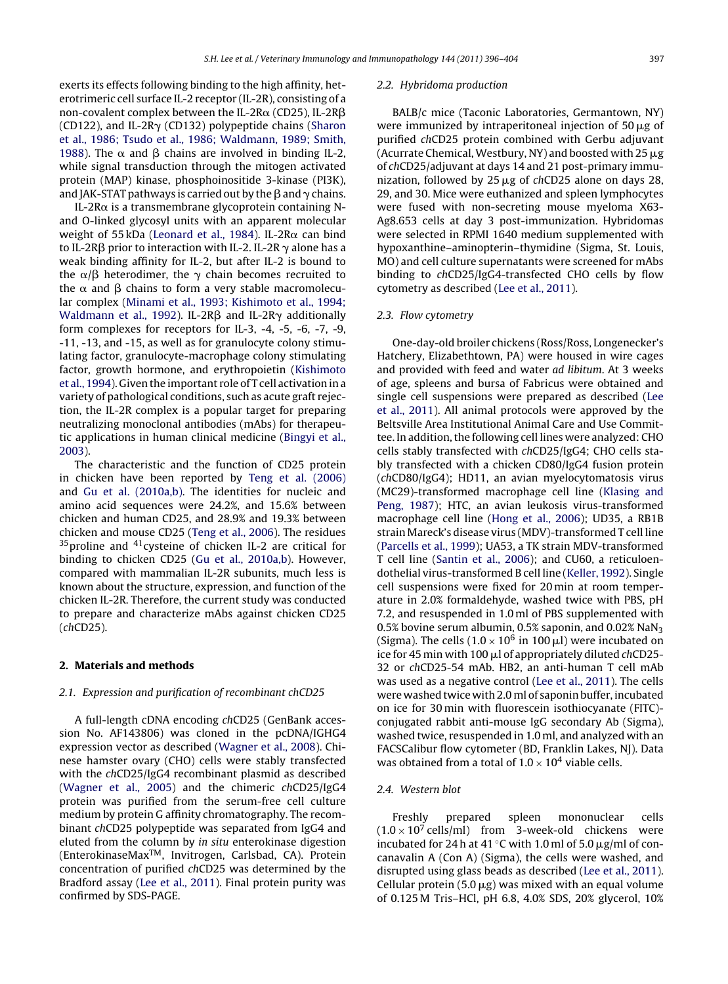exerts its effects following binding to the high affinity, heterotrimeric cell surface IL-2 receptor (IL-2R), consisting of a non-covalent complex between the IL-2R $\alpha$  (CD25), IL-2R $\beta$  $(CD122)$ , and IL-2R $\gamma$  (CD132) polypeptide chains ([Sharon](#page-7-0) et [al.,](#page-7-0) [1986;](#page-7-0) [Tsudo](#page-7-0) et [al.,](#page-7-0) [1986;](#page-7-0) [Waldmann,](#page-7-0) [1989;](#page-7-0) [Smith,](#page-7-0) [1988\).](#page-7-0) The  $\alpha$  and  $\beta$  chains are involved in binding IL-2, while signal transduction through the mitogen activated protein (MAP) kinase, phosphoinositide 3-kinase (PI3K), and JAK-STAT pathways is carried out by the  $\beta$  and  $\gamma$  chains.

IL-2R $\alpha$  is a transmembrane glycoprotein containing Nand O-linked glycosyl units with an apparent molecular weight of 55 kDa ([Leonard](#page-7-0) et [al.,](#page-7-0) [1984\).](#page-7-0) IL-2R $\alpha$  can bind to IL-2R $\beta$  prior to interaction with IL-2. IL-2R  $\gamma$  alone has a weak binding affinity for IL-2, but after IL-2 is bound to the  $\alpha/\beta$  heterodimer, the  $\gamma$  chain becomes recruited to the  $\alpha$  and  $\beta$  chains to form a very stable macromolecular complex ([Minami](#page-7-0) et [al.,](#page-7-0) [1993;](#page-7-0) [Kishimoto](#page-7-0) [et](#page-7-0) [al.,](#page-7-0) [1994;](#page-7-0) [Waldmann](#page-7-0) et [al.,](#page-7-0) [1992\).](#page-7-0) IL-2R $\beta$  and IL-2R $\gamma$  additionally form complexes for receptors for IL-3, -4, -5, -6, -7, -9, -11, -13, and -15, as well as for granulocyte colony stimulating factor, granulocyte-macrophage colony stimulating factor, growth hormone, and erythropoietin [\(Kishimoto](#page-7-0) et [al.,](#page-7-0) [1994\).](#page-7-0) Given the important role of T cell activation in a variety of pathological conditions, such as acute graft rejection, the IL-2R complex is a popular target for preparing neutralizing monoclonal antibodies (mAbs) for therapeutic applications in human clinical medicine ([Bingyi](#page-7-0) et [al.,](#page-7-0) [2003\).](#page-7-0)

The characteristic and the function of CD25 protein in chicken have been reported by [Teng](#page-7-0) et [al.](#page-7-0) [\(2006\)](#page-7-0) and [Gu](#page-7-0) et [al.](#page-7-0) [\(2010a,b\).](#page-7-0) The identities for nucleic and amino acid sequences were 24.2%, and 15.6% between chicken and human CD25, and 28.9% and 19.3% between chicken and mouse CD25 ([Teng](#page-7-0) et [al.,](#page-7-0) [2006\).](#page-7-0) The residues  $35$  proline and  $41$  cysteine of chicken IL-2 are critical for binding to chicken CD25 ([Gu](#page-7-0) et [al.,](#page-7-0) [2010a,b\).](#page-7-0) However, compared with mammalian IL-2R subunits, much less is known about the structure, expression, and function of the chicken IL-2R. Therefore, the current study was conducted to prepare and characterize mAbs against chicken CD25 (chCD25).

#### **2. Materials and methods**

#### 2.1. Expression and purification of recombinant chCD25

A full-length cDNA encoding chCD25 (GenBank accession No. AF143806) was cloned in the pcDNA/IGHG4 expression vector as described [\(Wagner](#page-7-0) et [al.,](#page-7-0) [2008\).](#page-7-0) Chinese hamster ovary (CHO) cells were stably transfected with the chCD25/IgG4 recombinant plasmid as described [\(Wagner](#page-7-0) et [al.,](#page-7-0) [2005\)](#page-7-0) and the chimeric chCD25/IgG4 protein was purified from the serum-free cell culture medium by protein G affinity chromatography. The recombinant chCD25 polypeptide was separated from IgG4 and eluted from the column by in situ enterokinase digestion (EnterokinaseMaxTM, Invitrogen, Carlsbad, CA). Protein concentration of purified chCD25 was determined by the Bradford assay ([Lee](#page-7-0) et [al.,](#page-7-0) [2011\).](#page-7-0) Final protein purity was confirmed by SDS-PAGE.

#### 2.2. Hybridoma production

BALB/c mice (Taconic Laboratories, Germantown, NY) were immunized by intraperitoneal injection of  $50 \text{ m/s}$  of purified chCD25 protein combined with Gerbu adjuvant (Acurrate Chemical, Westbury, NY) and boosted with 25  $\mu$ g of chCD25/adjuvant at days 14 and 21 post-primary immunization, followed by  $25 \mu g$  of chCD25 alone on days 28, 29, and 30. Mice were euthanized and spleen lymphocytes were fused with non-secreting mouse myeloma X63- Ag8.653 cells at day 3 post-immunization. Hybridomas were selected in RPMI 1640 medium supplemented with hypoxanthine–aminopterin–thymidine (Sigma, St. Louis, MO) and cell culture supernatants were screened for mAbs binding to chCD25/IgG4-transfected CHO cells by flow cytometry as described ([Lee](#page-7-0) et [al.,](#page-7-0) [2011\).](#page-7-0)

#### 2.3. Flow cytometry

One-day-old broiler chickens (Ross/Ross, Longenecker's Hatchery, Elizabethtown, PA) were housed in wire cages and provided with feed and water ad libitum. At 3 weeks of age, spleens and bursa of Fabricus were obtained and single cell suspensions were prepared as described ([Lee](#page-7-0) et [al.,](#page-7-0) [2011\).](#page-7-0) All animal protocols were approved by the Beltsville Area Institutional Animal Care and Use Committee. In addition, the following cell lines were analyzed: CHO cells stably transfected with chCD25/IgG4; CHO cells stably transfected with a chicken CD80/IgG4 fusion protein (chCD80/IgG4); HD11, an avian myelocytomatosis virus (MC29)-transformed macrophage cell line [\(Klasing](#page-7-0) [and](#page-7-0) [Peng,](#page-7-0) [1987\);](#page-7-0) HTC, an avian leukosis virus-transformed macrophage cell line ([Hong](#page-7-0) et [al.,](#page-7-0) [2006\);](#page-7-0) UD35, a RB1B strain Mareck's disease virus (MDV)-transformed T cell line [\(Parcells](#page-7-0) et [al.,](#page-7-0) [1999\);](#page-7-0) UA53, a TK strain MDV-transformed T cell line [\(Santin](#page-7-0) et [al.,](#page-7-0) [2006\);](#page-7-0) and CU60, a reticuloendothelial virus-transformed B cell line ([Keller,](#page-7-0) [1992\).](#page-7-0) Single cell suspensions were fixed for 20 min at room temperature in 2.0% formaldehyde, washed twice with PBS, pH 7.2, and resuspended in 1.0 ml of PBS supplemented with 0.5% bovine serum albumin, 0.5% saponin, and 0.02% NaN<sub>3</sub> (Sigma). The cells ( $1.0 \times 10^6$  in 100 µl) were incubated on ice for 45 min with 100  $\mu$ l of appropriately diluted chCD25-32 or chCD25-54 mAb. HB2, an anti-human T cell mAb was used as a negative control [\(Lee](#page-7-0) et [al.,](#page-7-0) [2011\).](#page-7-0) The cells were washed twice with 2.0 ml of saponin buffer, incubated on ice for 30 min with fluorescein isothiocyanate (FITC) conjugated rabbit anti-mouse IgG secondary Ab (Sigma), washed twice, resuspended in 1.0 ml, and analyzed with an FACSCalibur flow cytometer (BD, Franklin Lakes, NJ). Data was obtained from a total of  $1.0 \times 10^4$  viable cells.

#### 2.4. Western blot

Freshly prepared spleen mononuclear cells  $(1.0 \times 10^7 \text{ cells/ml})$  from 3-week-old chickens were incubated for 24 h at 41  $\degree$ C with 1.0 ml of 5.0  $\mu$ g/ml of concanavalin A (Con A) (Sigma), the cells were washed, and disrupted using glass beads as described ([Lee](#page-7-0) et [al.,](#page-7-0) [2011\).](#page-7-0) Cellular protein (5.0  $\mu$ g) was mixed with an equal volume of 0.125 M Tris–HCl, pH 6.8, 4.0% SDS, 20% glycerol, 10%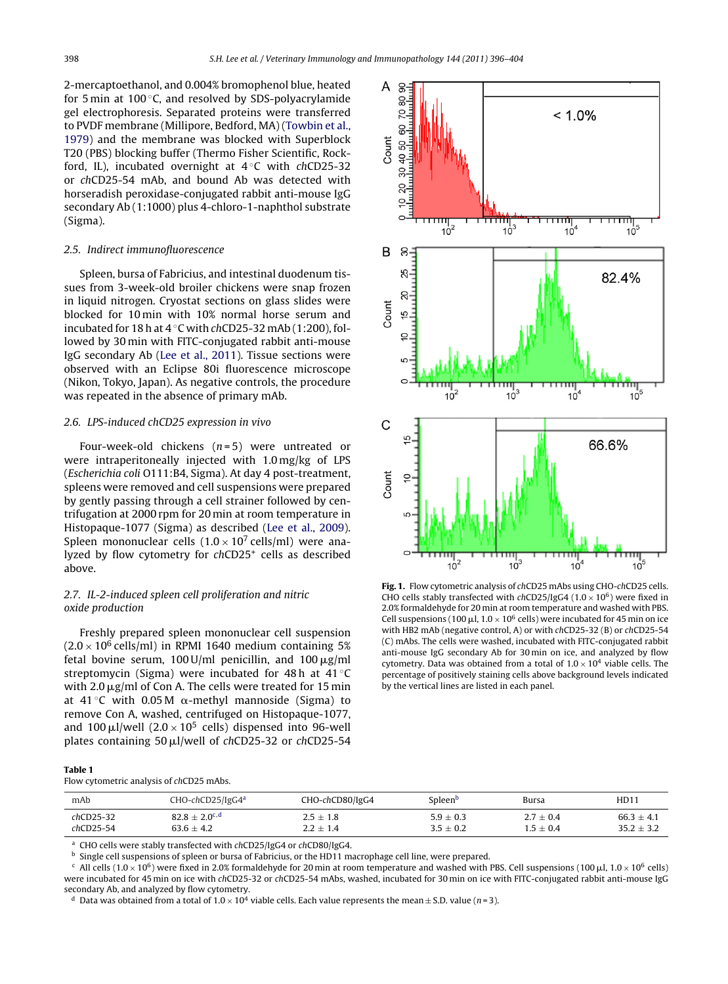<span id="page-2-0"></span>2-mercaptoethanol, and 0.004% bromophenol blue, heated for 5 min at 100 $\degree$ C, and resolved by SDS-polyacrylamide gel electrophoresis. Separated proteins were transferred to PVDF membrane (Millipore, Bedford, MA) ([Towbin](#page-7-0) et [al.,](#page-7-0) [1979\)](#page-7-0) and the membrane was blocked with Superblock T20 (PBS) blocking buffer (Thermo Fisher Scientific, Rockford, IL), incubated overnight at  $4^\circ$ C with chCD25-32 or chCD25-54 mAb, and bound Ab was detected with horseradish peroxidase-conjugated rabbit anti-mouse IgG secondary Ab (1:1000) plus 4-chloro-1-naphthol substrate (Sigma).

#### 2.5. Indirect immunofluorescence

Spleen, bursa of Fabricius, and intestinal duodenum tissues from 3-week-old broiler chickens were snap frozen in liquid nitrogen. Cryostat sections on glass slides were blocked for 10 min with 10% normal horse serum and incubated for 18 h at  $4^{\circ}$ C with chCD25-32 mAb (1:200), followed by 30 min with FITC-conjugated rabbit anti-mouse IgG secondary Ab [\(Lee](#page-7-0) et [al.,](#page-7-0) [2011\).](#page-7-0) Tissue sections were observed with an Eclipse 80i fluorescence microscope (Nikon, Tokyo, Japan). As negative controls, the procedure was repeated in the absence of primary mAb.

#### 2.6. LPS-induced chCD25 expression in vivo

Four-week-old chickens  $(n=5)$  were untreated or were intraperitoneally injected with 1.0 mg/kg of LPS (Escherichia coli O111:B4, Sigma). At day 4 post-treatment, spleens were removed and cell suspensions were prepared by gently passing through a cell strainer followed by centrifugation at 2000 rpm for 20 min at room temperature in Histopaque-1077 (Sigma) as described [\(Lee](#page-7-0) et [al.,](#page-7-0) [2009\).](#page-7-0) Spleen mononuclear cells  $(1.0 \times 10^7 \text{ cells/ml})$  were analyzed by flow cytometry for chCD25+ cells as described above.

## 2.7. IL-2-induced spleen cell proliferation and nitric oxide production

Freshly prepared spleen mononuclear cell suspension  $(2.0 \times 10^6 \text{ cells/ml})$  in RPMI 1640 medium containing 5% fetal bovine serum, 100 U/ml penicillin, and  $100 \mu$ g/ml streptomycin (Sigma) were incubated for 48 h at 41 ◦C with 2.0  $\mu$ g/ml of Con A. The cells were treated for 15 min at 41 °C with 0.05 M  $\alpha$ -methyl mannoside (Sigma) to remove Con A, washed, centrifuged on Histopaque-1077, and 100  $\mu$ l/well (2.0 × 10<sup>5</sup> cells) dispensed into 96-well plates containing 50  $\mu$ l/well of chCD25-32 or chCD25-54



**Fig. 1.** Flow cytometric analysis of chCD25 mAbs using CHO-chCD25 cells. CHO cells stably transfected with  $chCD25/lgG4$  (1.0  $\times$  10<sup>6</sup>) were fixed in 2.0% formaldehyde for 20 min at room temperature and washed with PBS. Cell suspensions (100  $\mu$ l, 1.0  $\times$  10<sup>6</sup> cells) were incubated for 45 min on ice with HB2 mAb (negative control, A) or with chCD25-32 (B) or chCD25-54 (C) mAbs. The cells were washed, incubated with FITC-conjugated rabbit anti-mouse IgG secondary Ab for 30 min on ice, and analyzed by flow cytometry. Data was obtained from a total of  $1.0 \times 10^4$  viable cells. The percentage of positively staining cells above background levels indicated by the vertical lines are listed in each panel.

| Table 1                                  |  |
|------------------------------------------|--|
| Flow cytometric analysis of chCD25 mAbs. |  |

| mAb         | CHO-chCD25/IgG4ª            | CHO-chCD80/IgG4 | Spleen <sup>b</sup> | Bursa       | <b>HD11</b>  |
|-------------|-----------------------------|-----------------|---------------------|-------------|--------------|
| $chCD25-32$ | $82.8 + 2.0$ <sup>c,d</sup> | $2.5 + 1.8$     | $5.9 + 0.3$         | $2.7 + 0.4$ | $66.3 + 4.1$ |
| $chCD25-54$ | $63.6 + 4.2$                | $2.2 + 1.4$     | $3.5 \pm 0.2$       | $1.5 + 0.4$ | $35.2 + 3.2$ |

<sup>a</sup> CHO cells were stably transfected with chCD25/IgG4 or chCD80/IgG4.

**b** Single cell suspensions of spleen or bursa of Fabricius, or the HD11 macrophage cell line, were prepared.

<sup>c</sup> All cells (1.0 × 10<sup>6</sup>) were fixed in 2.0% formaldehyde for 20 min at room temperature and washed with PBS. Cell suspensions (100  $\mu$ l, 1.0 × 10<sup>6</sup> cells) were incubated for 45 min on ice with chCD25-32 or chCD25-54 mAbs, washed, incubated for 30 min on ice with FITC-conjugated rabbit anti-mouse IgG secondary Ab, and analyzed by flow cytometry.

<sup>d</sup> Data was obtained from a total of  $1.0 \times 10^4$  viable cells. Each value represents the mean  $\pm$  S.D. value (n=3).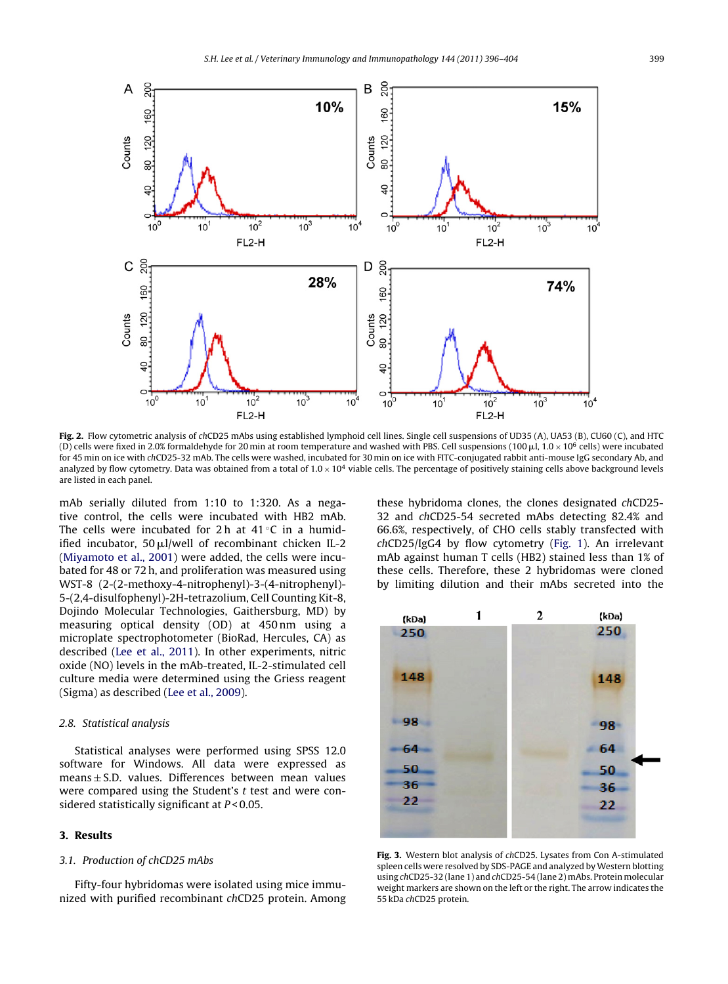<span id="page-3-0"></span>

**Fig. 2.** Flow cytometric analysis of chCD25 mAbs using established lymphoid cell lines. Single cell suspensions of UD35 (A), UA53 (B), CU60 (C), and HTC (D) cells were fixed in 2.0% formaldehyde for 20 min at room temperature and washed with PBS. Cell suspensions (100  $\mu$ l, 1.0  $\times$  10<sup>6</sup> cells) were incubated for 45 min on ice with chCD25-32 mAb. The cells were washed, incubated for 30 min on ice with FITC-conjugated rabbit anti-mouse IgG secondary Ab, and analyzed by flow cytometry. Data was obtained from a total of  $1.0 \times 10^4$  viable cells. The percentage of positively staining cells above background levels are listed in each panel.

mAb serially diluted from 1:10 to 1:320. As a negative control, the cells were incubated with HB2 mAb. The cells were incubated for 2 h at  $41^{\circ}$ C in a humidified incubator,  $50 \mu$ l/well of recombinant chicken IL-2 [\(Miyamoto](#page-7-0) et [al.,](#page-7-0) [2001\)](#page-7-0) were added, the cells were incubated for 48 or 72 h, and proliferation was measured using WST-8 (2-(2-methoxy-4-nitrophenyl)-3-(4-nitrophenyl)- 5-(2,4-disulfophenyl)-2H-tetrazolium, Cell Counting Kit-8, Dojindo Molecular Technologies, Gaithersburg, MD) by measuring optical density (OD) at 450 nm using a microplate spectrophotometer (BioRad, Hercules, CA) as described ([Lee](#page-7-0) et [al.,](#page-7-0) [2011\).](#page-7-0) In other experiments, nitric oxide (NO) levels in the mAb-treated, IL-2-stimulated cell culture media were determined using the Griess reagent (Sigma) as described ([Lee](#page-7-0) et [al.,](#page-7-0) [2009\).](#page-7-0)

#### 2.8. Statistical analysis

Statistical analyses were performed using SPSS 12.0 software for Windows. All data were expressed as  $means \pm S.D.$  values. Differences between mean values were compared using the Student's  $t$  test and were considered statistically significant at  $P < 0.05$ .

#### **3. Results**

#### 3.1. Production of chCD25 mAbs

Fifty-four hybridomas were isolated using mice immunized with purified recombinant chCD25 protein. Among these hybridoma clones, the clones designated chCD25- 32 and chCD25-54 secreted mAbs detecting 82.4% and 66.6%, respectively, of CHO cells stably transfected with chCD25/IgG4 by flow cytometry ([Fig.](#page-2-0) 1). An irrelevant mAb against human T cells (HB2) stained less than 1% of these cells. Therefore, these 2 hybridomas were cloned by limiting dilution and their mAbs secreted into the



**Fig. 3.** Western blot analysis of chCD25. Lysates from Con A-stimulated spleen cells were resolved by SDS-PAGE and analyzed by Western blotting using chCD25-32 (lane 1) and chCD25-54 (lane 2) mAbs. Protein molecular weight markers are shown on the left or the right. The arrow indicates the 55 kDa chCD25 protein.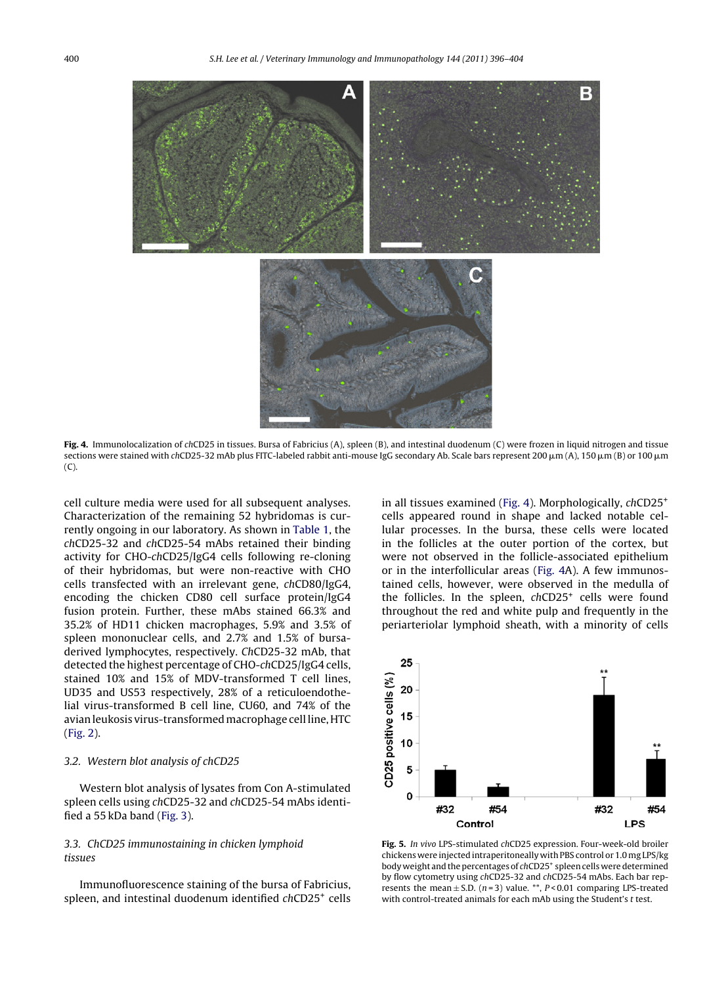<span id="page-4-0"></span>

**Fig. 4.** Immunolocalization of chCD25 in tissues. Bursa of Fabricius (A), spleen (B), and intestinal duodenum (C) were frozen in liquid nitrogen and tissue sections were stained with chCD25-32 mAb plus FITC-labeled rabbit anti-mouse IgG secondary Ab. Scale bars represent 200  $\mu$ m (A), 150  $\mu$ m (B) or 100  $\mu$ m (C).

cell culture media were used for all subsequent analyses. Characterization of the remaining 52 hybridomas is currently ongoing in our laboratory. As shown in [Table](#page-2-0) 1, the chCD25-32 and chCD25-54 mAbs retained their binding activity for CHO-chCD25/IgG4 cells following re-cloning of their hybridomas, but were non-reactive with CHO cells transfected with an irrelevant gene, chCD80/IgG4, encoding the chicken CD80 cell surface protein/IgG4 fusion protein. Further, these mAbs stained 66.3% and 35.2% of HD11 chicken macrophages, 5.9% and 3.5% of spleen mononuclear cells, and 2.7% and 1.5% of bursaderived lymphocytes, respectively. ChCD25-32 mAb, that detected the highest percentage of CHO-chCD25/IgG4 cells, stained 10% and 15% of MDV-transformed T cell lines, UD35 and US53 respectively, 28% of a reticuloendothelial virus-transformed B cell line, CU60, and 74% of the avian leukosis virus-transformed macrophage cell line, HTC [\(Fig.](#page-3-0) 2).

#### 3.2. Western blot analysis of chCD25

Western blot analysis of lysates from Con A-stimulated spleen cells using chCD25-32 and chCD25-54 mAbs identified a 55 kDa band ([Fig.](#page-3-0) 3).

## 3.3. ChCD25 immunostaining in chicken lymphoid tissues

Immunofluorescence staining of the bursa of Fabricius, spleen, and intestinal duodenum identified chCD25+ cells

in all tissues examined (Fig. 4). Morphologically, chCD25+ cells appeared round in shape and lacked notable cellular processes. In the bursa, these cells were located in the follicles at the outer portion of the cortex, but were not observed in the follicle-associated epithelium or in the interfollicular areas (Fig. 4A). A few immunostained cells, however, were observed in the medulla of the follicles. In the spleen, chCD25<sup>+</sup> cells were found throughout the red and white pulp and frequently in the periarteriolar lymphoid sheath, with a minority of cells



**Fig. 5.** In vivo LPS-stimulated chCD25 expression. Four-week-old broiler chickens were injected intraperitoneally with PBS control or 1.0 mg LPS/kg body weight and the percentages of chCD25<sup>+</sup> spleen cells were determined by flow cytometry using chCD25-32 and chCD25-54 mAbs. Each bar represents the mean  $\pm$  S.D. (n=3) value. \*\*, P < 0.01 comparing LPS-treated with control-treated animals for each mAb using the Student's t test.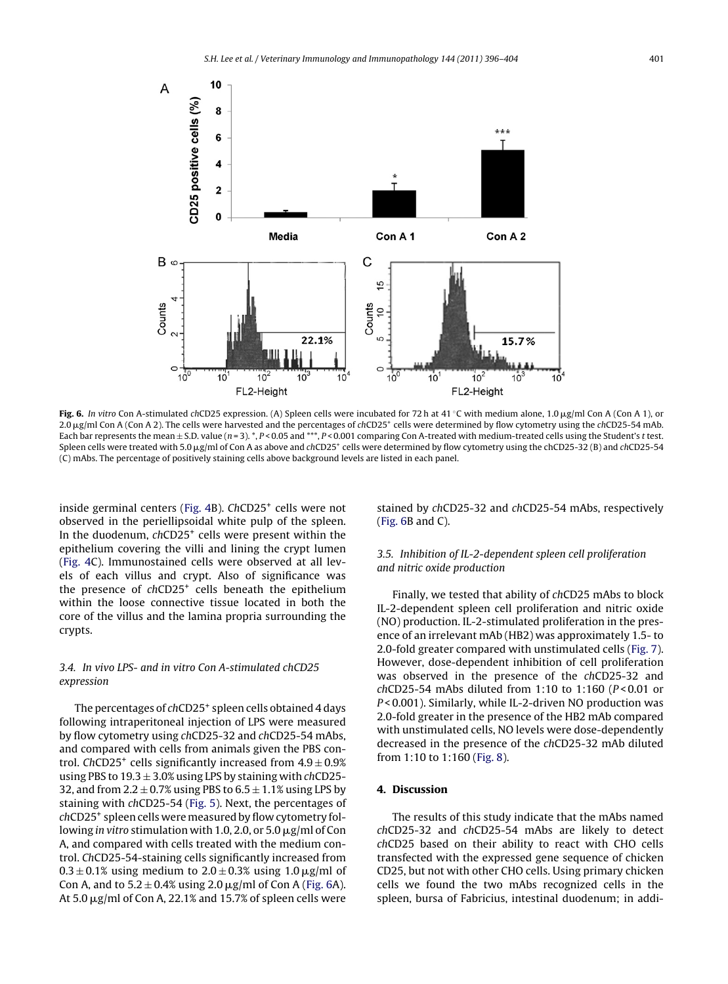

**Fig. 6.** In vitro Con A-stimulated chCD25 expression. (A) Spleen cells were incubated for 72 h at 41 °C with medium alone, 1.0 μg/ml Con A (Con A 1), or 2.0 μg/ml Con A (Con A 2). The cells were harvested and the percentages of chCD25<sup>+</sup> cells were determined by flow cytometry using the chCD25-54 mAb. Each bar represents the mean  $\pm$  S.D. value (n = 3). \*, P < 0.05 and \*\*\*, P < 0.001 comparing Con A-treated with medium-treated cells using the Student's t test. Spleen cells were treated with 5.0 µg/ml of Con A as above and chCD25<sup>+</sup> cells were determined by flow cytometry using the chCD25-32 (B) and chCD25-54 (C) mAbs. The percentage of positively staining cells above background levels are listed in each panel.

inside germinal centers ([Fig.](#page-4-0) 4B). ChCD25<sup>+</sup> cells were not observed in the periellipsoidal white pulp of the spleen. In the duodenum, chCD25<sup>+</sup> cells were present within the epithelium covering the villi and lining the crypt lumen [\(Fig.](#page-4-0) 4C). Immunostained cells were observed at all levels of each villus and crypt. Also of significance was the presence of  $chCD25<sup>+</sup>$  cells beneath the epithelium within the loose connective tissue located in both the core of the villus and the lamina propria surrounding the crypts.

## 3.4. In vivo LPS- and in vitro Con A-stimulated chCD25 expression

The percentages of chCD25<sup>+</sup> spleen cells obtained 4 days following intraperitoneal injection of LPS were measured by flow cytometry using chCD25-32 and chCD25-54 mAbs, and compared with cells from animals given the PBS control. ChCD25<sup>+</sup> cells significantly increased from  $4.9 \pm 0.9\%$ using PBS to  $19.3 \pm 3.0\%$  using LPS by staining with chCD25-32, and from  $2.2 \pm 0.7\%$  using PBS to  $6.5 \pm 1.1\%$  using LPS by staining with chCD25-54 ([Fig.](#page-4-0) 5). Next, the percentages of chCD25+ spleen cells were measured by flow cytometry following in vitro stimulation with 1.0, 2.0, or 5.0  $\mu$ g/ml of Con A, and compared with cells treated with the medium control. ChCD25-54-staining cells significantly increased from  $0.3 \pm 0.1\%$  using medium to  $2.0 \pm 0.3\%$  using 1.0  $\mu$ g/ml of Con A, and to  $5.2 \pm 0.4\%$  using 2.0  $\mu$ g/ml of Con A (Fig. 6A). At 5.0  $\mu$ g/ml of Con A, 22.1% and 15.7% of spleen cells were

stained by chCD25-32 and chCD25-54 mAbs, respectively (Fig. 6B and C).

## 3.5. Inhibition of IL-2-dependent spleen cell proliferation and nitric oxide production

Finally, we tested that ability of chCD25 mAbs to block IL-2-dependent spleen cell proliferation and nitric oxide (NO) production. IL-2-stimulated proliferation in the presence of an irrelevant mAb (HB2) was approximately 1.5- to 2.0-fold greater compared with unstimulated cells ([Fig.](#page-6-0) 7). However, dose-dependent inhibition of cell proliferation was observed in the presence of the chCD25-32 and  $chCD25-54$  mAbs diluted from 1:10 to 1:160 ( $P < 0.01$  or P < 0.001). Similarly, while IL-2-driven NO production was 2.0-fold greater in the presence of the HB2 mAb compared with unstimulated cells, NO levels were dose-dependently decreased in the presence of the chCD25-32 mAb diluted from 1:10 to 1:160 [\(Fig.](#page-6-0) 8).

## **4. Discussion**

The results of this study indicate that the mAbs named chCD25-32 and chCD25-54 mAbs are likely to detect chCD25 based on their ability to react with CHO cells transfected with the expressed gene sequence of chicken CD25, but not with other CHO cells. Using primary chicken cells we found the two mAbs recognized cells in the spleen, bursa of Fabricius, intestinal duodenum; in addi-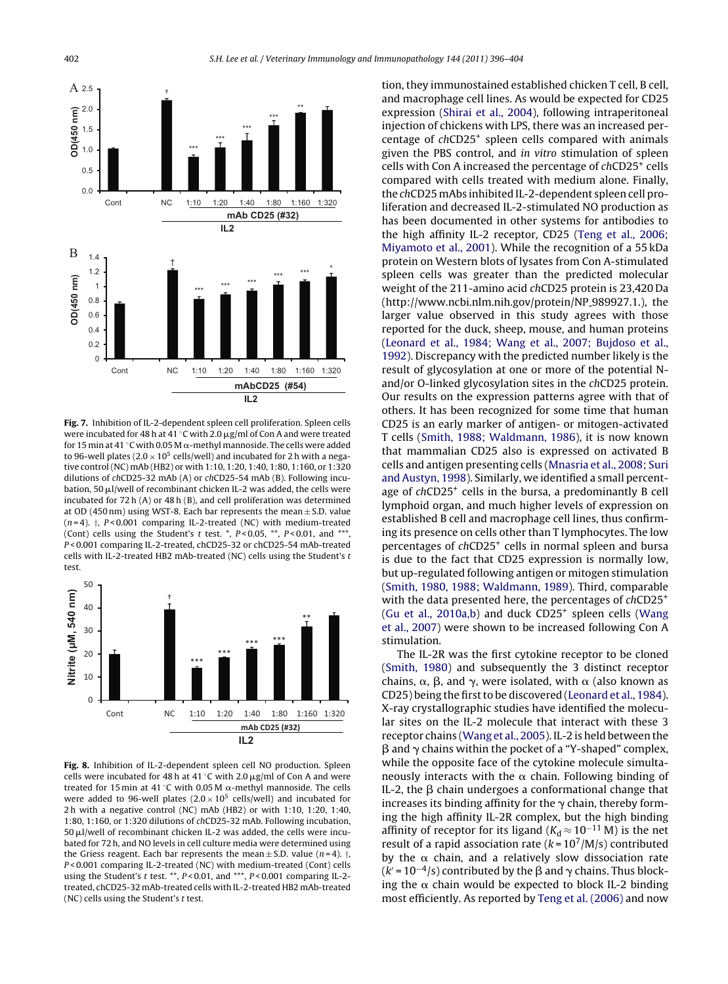<span id="page-6-0"></span>

**Fig. 7.** Inhibition of IL-2-dependent spleen cell proliferation. Spleen cells were incubated for 48 h at 41  $\degree$ C with 2.0  $\mu$ g/ml of Con A and were treated for 15 min at 41 °C with 0.05 M  $\alpha$ -methyl mannoside. The cells were added to 96-well plates (2.0  $\times$  10<sup>5</sup> cells/well) and incubated for 2 h with a negative control (NC) mAb (HB2) or with 1:10, 1:20, 1:40, 1:80, 1:160, or 1:320 dilutions of chCD25-32 mAb (A) or chCD25-54 mAb (B). Following incubation, 50 u.l/well of recombinant chicken IL-2 was added, the cells were incubated for 72 h (A) or 48 h (B), and cell proliferation was determined at OD (450 nm) using WST-8. Each bar represents the mean  $\pm$  S.D. value  $(n=4)$ .  $\dagger$ , P < 0.001 comparing IL-2-treated (NC) with medium-treated (Cont) cells using the Student's  $t$  test.  $^*$ ,  $P < 0.05$ ,  $^{**}$ ,  $P < 0.01$ , and  $^{***}$ P < 0.001 comparing IL-2-treated, chCD25-32 or chCD25-54 mAb-treated cells with IL-2-treated HB2 mAb-treated (NC) cells using the Student's t test.



**Fig. 8.** Inhibition of IL-2-dependent spleen cell NO production. Spleen cells were incubated for 48 h at 41 °C with 2.0  $\mu$ g/ml of Con A and were treated for 15 $\min$  at 41 °C with 0.05M  $\alpha$ -methyl mannoside. The cells were added to 96-well plates  $(2.0 \times 10^5 \text{ cells/well})$  and incubated for 2 h with a negative control (NC) mAb (HB2) or with 1:10, 1:20, 1:40, 1:80, 1:160, or 1:320 dilutions of chCD25-32 mAb. Following incubation,  $50 \mu$ l/well of recombinant chicken IL-2 was added, the cells were incubated for 72 h, and NO levels in cell culture media were determined using the Griess reagent. Each bar represents the mean  $\pm$  S.D. value (n=4).  $\dagger$ , P < 0.001 comparing IL-2-treated (NC) with medium-treated (Cont) cells using the Student's  $t$  test. \*\*,  $P < 0.01$ , and \*\*\*,  $P < 0.001$  comparing IL-2treated, chCD25-32 mAb-treated cells with IL-2-treated HB2 mAb-treated (NC) cells using the Student's  $t$  test.

tion, they immunostained established chicken T cell, B cell, and macrophage cell lines. As would be expected for CD25 expression ([Shirai](#page-7-0) et [al.,](#page-7-0) [2004\),](#page-7-0) following intraperitoneal injection of chickens with LPS, there was an increased percentage of chCD25+ spleen cells compared with animals given the PBS control, and in vitro stimulation of spleen cells with Con A increased the percentage of chCD25+ cells compared with cells treated with medium alone. Finally, the chCD25 mAbs inhibited IL-2-dependent spleen cell proliferation and decreased IL-2-stimulated NO production as has been documented in other systems for antibodies to the high affinity IL-2 receptor, CD25 ([Teng](#page-7-0) et [al.,](#page-7-0) [2006;](#page-7-0) [Miyamoto](#page-7-0) et [al.,](#page-7-0) [2001\).](#page-7-0) While the recognition of a 55 kDa protein on Western blots of lysates from Con A-stimulated spleen cells was greater than the predicted molecular weight of the 211-amino acid chCD25 protein is 23,420 Da (http://www.ncbi.nlm.nih.gov/protein/NP\_989927.1.), the larger value observed in this study agrees with those reported for the duck, sheep, mouse, and human proteins [\(Leonard](#page-7-0) et [al.,](#page-7-0) [1984;](#page-7-0) [Wang](#page-7-0) et [al.,](#page-7-0) [2007;](#page-7-0) [Bujdoso](#page-7-0) et [al.,](#page-7-0) [1992\).](#page-7-0) Discrepancy with the predicted number likely is the result of glycosylation at one or more of the potential Nand/or O-linked glycosylation sites in the chCD25 protein. Our results on the expression patterns agree with that of others. It has been recognized for some time that human CD25 is an early marker of antigen- or mitogen-activated T cells ([Smith,](#page-7-0) [1988;](#page-7-0) [Waldmann,](#page-7-0) [1986\),](#page-7-0) it is now known that mammalian CD25 also is expressed on activated B cells and antigen presenting cells ([Mnasria](#page-7-0) et [al.,](#page-7-0) [2008;](#page-7-0) [Suri](#page-7-0) [and](#page-7-0) [Austyn,](#page-7-0) [1998\).](#page-7-0) Similarly, we identified a small percentage of chCD25<sup>+</sup> cells in the bursa, a predominantly B cell lymphoid organ, and much higher levels of expression on established B cell and macrophage cell lines, thus confirming its presence on cells other than T lymphocytes. The low percentages of chCD25+ cells in normal spleen and bursa is due to the fact that CD25 expression is normally low, but up-regulated following antigen or mitogen stimulation [\(Smith,](#page-7-0) [1980,](#page-7-0) [1988;](#page-7-0) [Waldmann,](#page-7-0) [1989\).](#page-7-0) Third, comparable with the data presented here, the percentages of chCD25<sup>+</sup> [\(Gu](#page-7-0) et [al.,](#page-7-0) [2010a,b\)](#page-7-0) and duck  $CD25<sup>+</sup>$  spleen cells ([Wang](#page-8-0) et [al.,](#page-8-0) [2007\)](#page-8-0) were shown to be increased following Con A stimulation.

The IL-2R was the first cytokine receptor to be cloned [\(Smith,](#page-7-0) [1980\)](#page-7-0) and subsequently the 3 distinct receptor chains,  $\alpha$ ,  $\beta$ , and  $\gamma$ , were isolated, with  $\alpha$  (also known as CD25) being the first to be discovered ([Leonard](#page-7-0) et [al.,](#page-7-0) [1984\).](#page-7-0) X-ray crystallographic studies have identified the molecular sites on the IL-2 molecule that interact with these 3 receptor chains [\(Wang](#page-8-0) et [al.,](#page-8-0) [2005\).](#page-8-0) IL-2 is held between the  $\beta$  and  $\gamma$  chains within the pocket of a "Y-shaped" complex, while the opposite face of the cytokine molecule simultaneously interacts with the  $\alpha$  chain. Following binding of IL-2, the  $\beta$  chain undergoes a conformational change that increases its binding affinity for the  $\gamma$  chain, thereby forming the high affinity IL-2R complex, but the high binding affinity of receptor for its ligand ( $K_d \approx 10^{-11}$  M) is the net result of a rapid association rate  $(k = 10^7/M/s)$  contributed by the  $\alpha$  chain, and a relatively slow dissociation rate  $(k' = 10^{-4}/s)$  contributed by the  $\beta$  and  $\gamma$  chains. Thus blocking the  $\alpha$  chain would be expected to block IL-2 binding most efficiently. As reported by [Teng](#page-7-0) et [al.](#page-7-0) [\(2006\)](#page-7-0) and now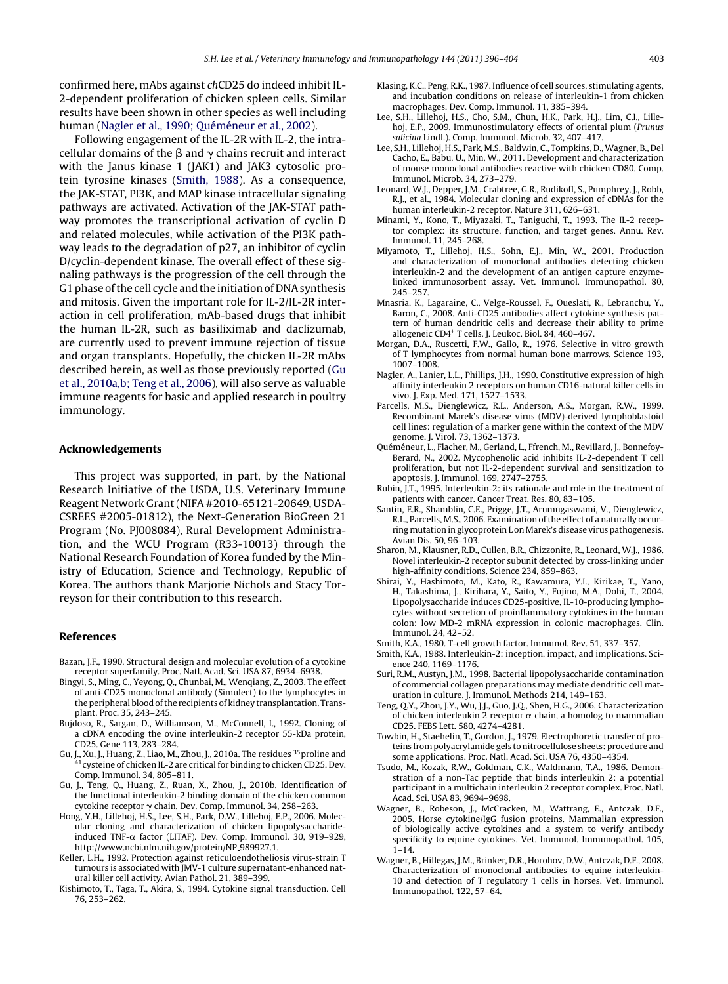<span id="page-7-0"></span>confirmed here, mAbs against chCD25 do indeed inhibit IL-2-dependent proliferation of chicken spleen cells. Similar results have been shown in other species as well including human (Nagler et al., 1990; Quéméneur et al., 2002).

Following engagement of the IL-2R with IL-2, the intracellular domains of the  $\beta$  and  $\gamma$  chains recruit and interact with the Janus kinase 1 (JAK1) and JAK3 cytosolic protein tyrosine kinases (Smith, 1988). As a consequence, the JAK-STAT, PI3K, and MAP kinase intracellular signaling pathways are activated. Activation of the JAK-STAT pathway promotes the transcriptional activation of cyclin D and related molecules, while activation of the PI3K pathway leads to the degradation of p27, an inhibitor of cyclin D/cyclin-dependent kinase. The overall effect of these signaling pathways is the progression of the cell through the G1 phase of the cell cycle and the initiation of DNA synthesis and mitosis. Given the important role for IL-2/IL-2R interaction in cell proliferation, mAb-based drugs that inhibit the human IL-2R, such as basiliximab and daclizumab, are currently used to prevent immune rejection of tissue and organ transplants. Hopefully, the chicken IL-2R mAbs described herein, as well as those previously reported (Gu et al., 2010a,b; Teng et al., 2006), will also serve as valuable immune reagents for basic and applied research in poultry immunology.

#### **Acknowledgements**

This project was supported, in part, by the National Research Initiative of the USDA, U.S. Veterinary Immune Reagent Network Grant(NIFA #2010-65121-20649, USDA-CSREES #2005-01812), the Next-Generation BioGreen 21 Program (No. PJ008084), Rural Development Administration, and the WCU Program (R33-10013) through the National Research Foundation of Korea funded by the Ministry of Education, Science and Technology, Republic of Korea. The authors thank Marjorie Nichols and Stacy Torreyson for their contribution to this research.

#### **References**

- Bazan, J.F., 1990. Structural design and molecular evolution of a cytokine receptor superfamily. Proc. Natl. Acad. Sci. USA 87, 6934–6938.
- Bingyi, S., Ming, C., Yeyong, Q., Chunbai, M., Wenqiang, Z., 2003. The effect of anti-CD25 monoclonal antibody (Simulect) to the lymphocytes in the peripheral blood of the recipients of kidney transplantation. Transplant. Proc. 35, 243–245.
- Bujdoso, R., Sargan, D., Williamson, M., McConnell, I., 1992. Cloning of a cDNA encoding the ovine interleukin-2 receptor 55-kDa protein, CD25. Gene 113, 283–284.
- Gu, J., Xu, J., Huang, Z., Liao, M., Zhou, J., 2010a. The residues <sup>35</sup> proline and <sup>41</sup> cysteine of chicken IL-2 are critical for binding to chicken CD25. Dev. Comp. Immunol. 34, 805–811.
- Gu, J., Teng, Q., Huang, Z., Ruan, X., Zhou, J., 2010b. Identification of the functional interleukin-2 binding domain of the chicken common cytokine receptor  $\gamma$  chain. Dev. Comp. Immunol. 34, 258-263.
- Hong, Y.H., Lillehoj, H.S., Lee, S.H., Park, D.W., Lillehoj, E.P., 2006. Molecular cloning and characterization of chicken lipopolysaccharideinduced TNF-α factor (LITAF). Dev. Comp. Immunol. 30, 919–929, http://www.ncbi.nlm.nih.gov/protein/NP<sub>-989927.1.</sub>
- Keller, L.H., 1992. Protection against reticuloendotheliosis virus-strain T tumours is associated with JMV-1 culture supernatant-enhanced natural killer cell activity. Avian Pathol. 21, 389–399.
- Kishimoto, T., Taga, T., Akira, S., 1994. Cytokine signal transduction. Cell 76, 253–262.
- Klasing, K.C., Peng, R.K., 1987. Influence of cell sources, stimulating agents, and incubation conditions on release of interleukin-1 from chicken macrophages. Dev. Comp. Immunol. 11, 385–394.
- Lee, S.H., Lillehoj, H.S., Cho, S.M., Chun, H.K., Park, H.J., Lim, C.I., Lillehoj, E.P., 2009. Immunostimulatory effects of oriental plum (Prunus salicina Lindl.). Comp. Immunol. Microb. 32, 407–417.
- Lee, S.H., Lillehoj, H.S., Park, M.S., Baldwin, C., Tompkins, D., Wagner, B., Del Cacho, E., Babu, U., Min, W., 2011. Development and characterization of mouse monoclonal antibodies reactive with chicken CD80. Comp. Immunol. Microb. 34, 273–279.
- Leonard, W.J., Depper, J.M., Crabtree, G.R., Rudikoff, S., Pumphrey, J., Robb, R.J., et al., 1984. Molecular cloning and expression of cDNAs for the human interleukin-2 receptor. Nature 311, 626–631.
- Minami, Y., Kono, T., Miyazaki, T., Taniguchi, T., 1993. The IL-2 receptor complex: its structure, function, and target genes. Annu. Rev. Immunol. 11, 245–268.
- Miyamoto, T., Lillehoj, H.S., Sohn, E.J., Min, W., 2001. Production and characterization of monoclonal antibodies detecting chicken interleukin-2 and the development of an antigen capture enzymelinked immunosorbent assay. Vet. Immunol. Immunopathol. 80, 245–257.
- Mnasria, K., Lagaraine, C., Velge-Roussel, F., Oueslati, R., Lebranchu, Y., Baron, C., 2008. Anti-CD25 antibodies affect cytokine synthesis pattern of human dendritic cells and decrease their ability to prime allogeneic CD4+ T cells. J. Leukoc. Biol. 84, 460–467.
- Morgan, D.A., Ruscetti, F.W., Gallo, R., 1976. Selective in vitro growth of T lymphocytes from normal human bone marrows. Science 193, 1007–1008.
- Nagler, A., Lanier, L.L., Phillips, J.H., 1990. Constitutive expression of high affinity interleukin 2 receptors on human CD16-natural killer cells in vivo. J. Exp. Med. 171, 1527–1533.
- Parcells, M.S., Dienglewicz, R.L., Anderson, A.S., Morgan, R.W., 1999. Recombinant Marek's disease virus (MDV)-derived lymphoblastoid cell lines: regulation of a marker gene within the context of the MDV genome. J. Virol. 73, 1362–1373.
- Quéméneur, L., Flacher, M., Gerland, L., Ffrench, M., Revillard, J., Bonnefoy-Berard, N., 2002. Mycophenolic acid inhibits IL-2-dependent T cell proliferation, but not IL-2-dependent survival and sensitization to apoptosis. J. Immunol. 169, 2747–2755.
- Rubin, J.T., 1995. Interleukin-2: its rationale and role in the treatment of patients with cancer. Cancer Treat. Res. 80, 83–105.
- Santin, E.R., Shamblin, C.E., Prigge, J.T., Arumugaswami, V., Dienglewicz, R.L., Parcells, M.S., 2006. Examination of the effect of a naturally occurring mutation in glycoprotein L on Marek's disease virus pathogenesis. Avian Dis. 50, 96–103.
- Sharon, M., Klausner, R.D., Cullen, B.R., Chizzonite, R., Leonard, W.J., 1986. Novel interleukin-2 receptor subunit detected by cross-linking under high-affinity conditions. Science 234, 859–863.
- Shirai, Y., Hashimoto, M., Kato, R., Kawamura, Y.I., Kirikae, T., Yano, H., Takashima, J., Kirihara, Y., Saito, Y., Fujino, M.A., Dohi, T., 2004. Lipopolysaccharide induces CD25-positive, IL-10-producing lymphocytes without secretion of proinflammatory cytokines in the human colon: low MD-2 mRNA expression in colonic macrophages. Clin. Immunol. 24, 42–52.
- Smith, K.A., 1980. T-cell growth factor. Immunol. Rev. 51, 337–357.
- Smith, K.A., 1988. Interleukin-2: inception, impact, and implications. Science 240, 1169–1176.
- Suri, R.M., Austyn, J.M., 1998. Bacterial lipopolysaccharide contamination of commercial collagen preparations may mediate dendritic cell maturation in culture. J. Immunol. Methods 214, 149–163.
- Teng, Q.Y., Zhou, J.Y., Wu, J.J., Guo, J.Q., Shen, H.G., 2006. Characterization of chicken interleukin 2 receptor  $\alpha$  chain, a homolog to mammalian CD25. FEBS Lett. 580, 4274–4281.
- Towbin, H., Staehelin, T., Gordon, J., 1979. Electrophoretic transfer of proteins from polyacrylamide gels to nitrocellulose sheets: procedure and some applications. Proc. Natl. Acad. Sci. USA 76, 4350–4354.
- Tsudo, M., Kozak, R.W., Goldman, C.K., Waldmann, T.A., 1986. Demonstration of a non-Tac peptide that binds interleukin 2: a potential participant in a multichain interleukin 2 receptor complex. Proc. Natl. Acad. Sci. USA 83, 9694–9698.
- Wagner, B., Robeson, J., McCracken, M., Wattrang, E., Antczak, D.F., 2005. Horse cytokine/IgG fusion proteins. Mammalian expression of biologically active cytokines and a system to verify antibody specificity to equine cytokines. Vet. Immunol. Immunopathol. 105, 1–14.
- Wagner, B., Hillegas, J.M., Brinker, D.R., Horohov, D.W., Antczak, D.F., 2008. Characterization of monoclonal antibodies to equine interleukin-10 and detection of T regulatory 1 cells in horses. Vet. Immunol. Immunopathol. 122, 57–64.